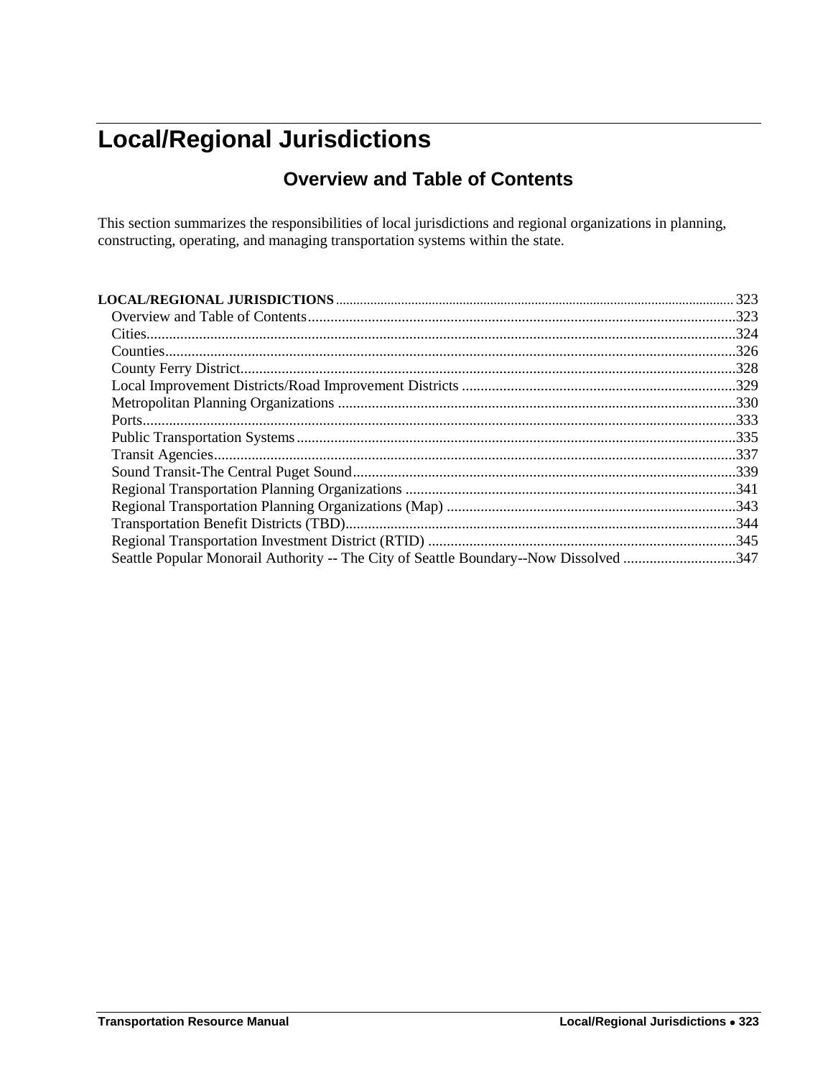# <span id="page-0-1"></span><span id="page-0-0"></span>**Local/Regional Jurisdictions**

# **Overview and Table of Contents**

This section summarizes the responsibilities of local jurisdictions and regional organizations in planning, constructing, operating, and managing transportation systems within the state.

|                                                                                       | 323  |
|---------------------------------------------------------------------------------------|------|
|                                                                                       |      |
|                                                                                       | 324  |
|                                                                                       | .326 |
|                                                                                       |      |
|                                                                                       |      |
|                                                                                       |      |
|                                                                                       |      |
|                                                                                       |      |
|                                                                                       |      |
|                                                                                       |      |
|                                                                                       |      |
|                                                                                       |      |
|                                                                                       |      |
|                                                                                       |      |
| Seattle Popular Monorail Authority -- The City of Seattle Boundary--Now Dissolved 347 |      |
|                                                                                       |      |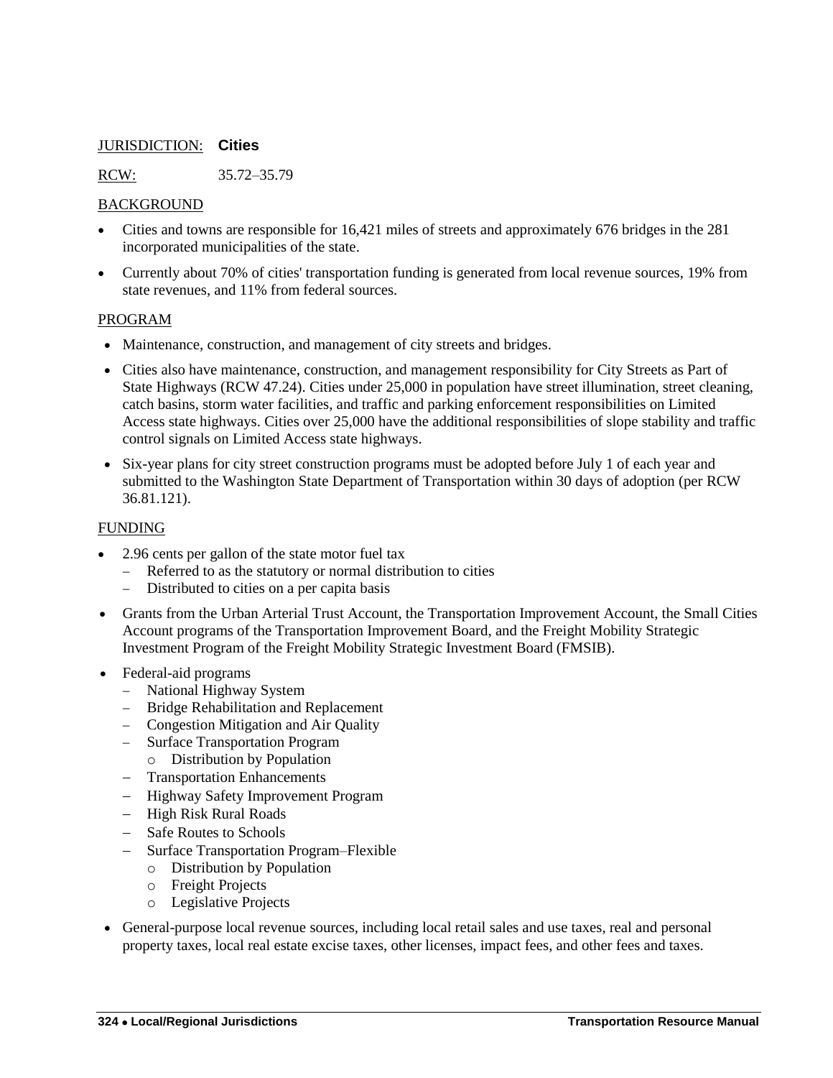# <span id="page-1-0"></span>JURISDICTION: **Cities**

RCW: 35.72–35.79

## BACKGROUND

- Cities and towns are responsible for 16,421 miles of streets and approximately 676 bridges in the 281 incorporated municipalities of the state.
- Currently about 70% of cities' transportation funding is generated from local revenue sources, 19% from state revenues, and 11% from federal sources.

### PROGRAM

- Maintenance, construction, and management of city streets and bridges.
- Cities also have maintenance, construction, and management responsibility for City Streets as Part of State Highways (RCW 47.24). Cities under 25,000 in population have street illumination, street cleaning, catch basins, storm water facilities, and traffic and parking enforcement responsibilities on Limited Access state highways. Cities over 25,000 have the additional responsibilities of slope stability and traffic control signals on Limited Access state highways.
- Six-year plans for city street construction programs must be adopted before July 1 of each year and submitted to the Washington State Department of Transportation within 30 days of adoption (per RCW 36.81.121).

# FUNDING

- 2.96 cents per gallon of the state motor fuel tax
	- Referred to as the statutory or normal distribution to cities
	- Distributed to cities on a per capita basis
- Grants from the Urban Arterial Trust Account, the Transportation Improvement Account, the Small Cities Account programs of the Transportation Improvement Board, and the Freight Mobility Strategic Investment Program of the Freight Mobility Strategic Investment Board (FMSIB).
- Federal-aid programs
	- National Highway System
	- Bridge Rehabilitation and Replacement
	- Congestion Mitigation and Air Quality
	- Surface Transportation Program
	- o Distribution by Population
	- Transportation Enhancements
	- Highway Safety Improvement Program
	- High Risk Rural Roads
	- Safe Routes to Schools
	- Surface Transportation Program–Flexible
		- o Distribution by Population
		- o Freight Projects
		- o Legislative Projects
- General-purpose local revenue sources, including local retail sales and use taxes, real and personal property taxes, local real estate excise taxes, other licenses, impact fees, and other fees and taxes.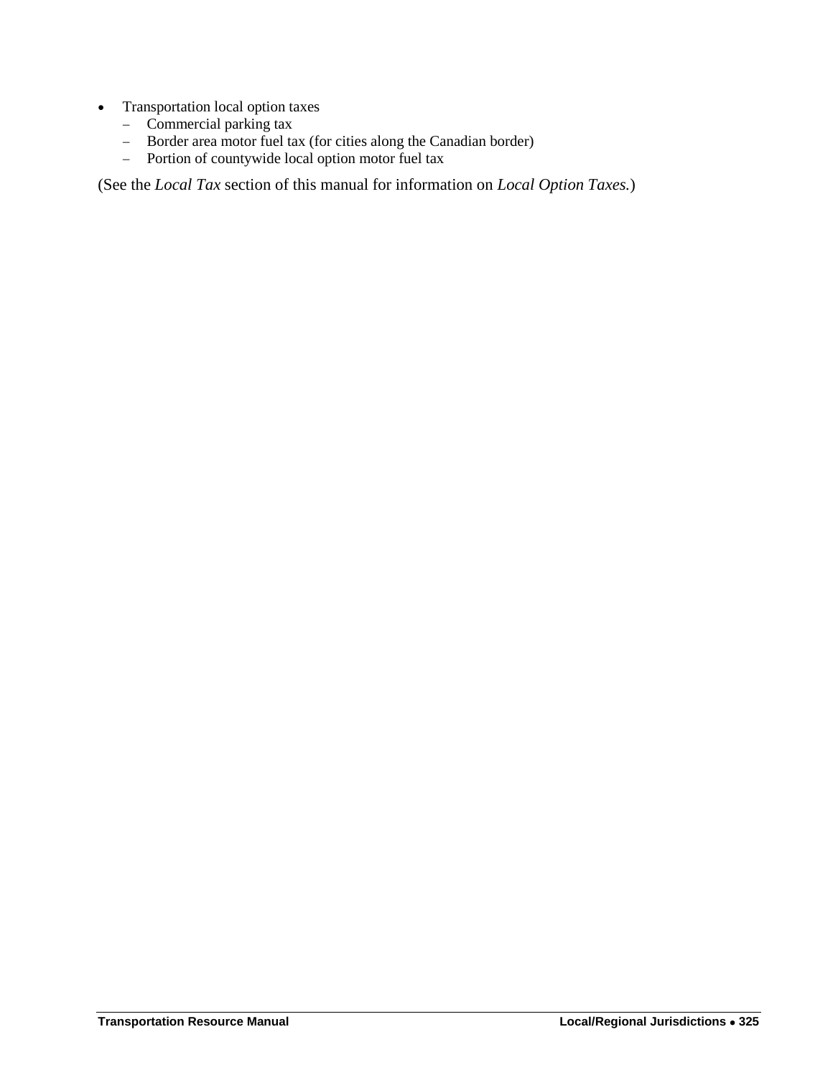- Transportation local option taxes
	- Commercial parking tax
	- Border area motor fuel tax (for cities along the Canadian border)<br>- Portion of countywide local option motor fuel tax
	- Portion of countywide local option motor fuel tax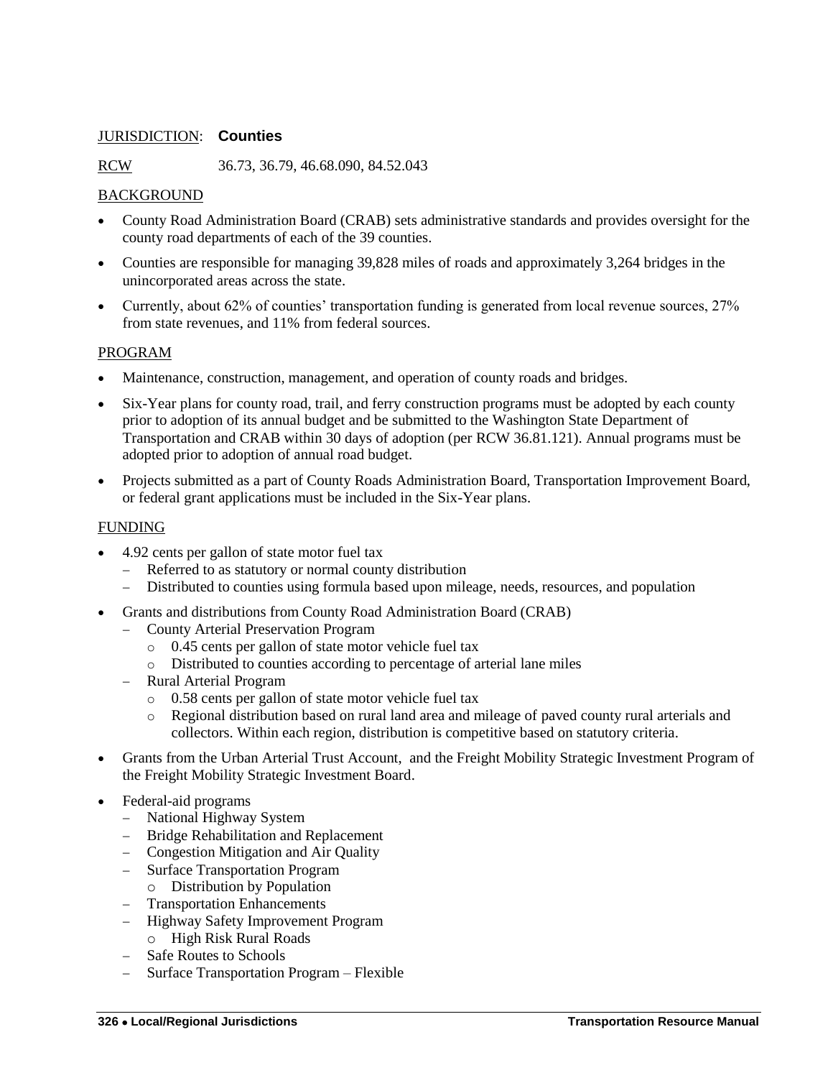# <span id="page-3-0"></span>JURISDICTION: **Counties**

RCW 36.73, 36.79, 46.68.090, 84.52.043

# BACKGROUND

- County Road Administration Board (CRAB) sets administrative standards and provides oversight for the county road departments of each of the 39 counties.
- Counties are responsible for managing 39,828 miles of roads and approximately 3,264 bridges in the unincorporated areas across the state.
- Currently, about 62% of counties' transportation funding is generated from local revenue sources, 27% from state revenues, and 11% from federal sources.

# PROGRAM

- Maintenance, construction, management, and operation of county roads and bridges.
- Six-Year plans for county road, trail, and ferry construction programs must be adopted by each county prior to adoption of its annual budget and be submitted to the Washington State Department of Transportation and CRAB within 30 days of adoption (per RCW 36.81.121). Annual programs must be adopted prior to adoption of annual road budget.
- Projects submitted as a part of County Roads Administration Board, Transportation Improvement Board, or federal grant applications must be included in the Six-Year plans.

# FUNDING

- 4.92 cents per gallon of state motor fuel tax
	- Referred to as statutory or normal county distribution
	- Distributed to counties using formula based upon mileage, needs, resources, and population
- Grants and distributions from County Road Administration Board (CRAB)
	- County Arterial Preservation Program
		- o 0.45 cents per gallon of state motor vehicle fuel tax
		- o Distributed to counties according to percentage of arterial lane miles
	- Rural Arterial Program
		- o 0.58 cents per gallon of state motor vehicle fuel tax
		- o Regional distribution based on rural land area and mileage of paved county rural arterials and collectors. Within each region, distribution is competitive based on statutory criteria.
- Grants from the Urban Arterial Trust Account, and the Freight Mobility Strategic Investment Program of the Freight Mobility Strategic Investment Board.
- Federal-aid programs
	- National Highway System
	- Bridge Rehabilitation and Replacement
	- Congestion Mitigation and Air Quality
	- Surface Transportation Program
		- o Distribution by Population
	- Transportation Enhancements
	- Highway Safety Improvement Program
	- o High Risk Rural Roads
	- Safe Routes to Schools
	- Surface Transportation Program Flexible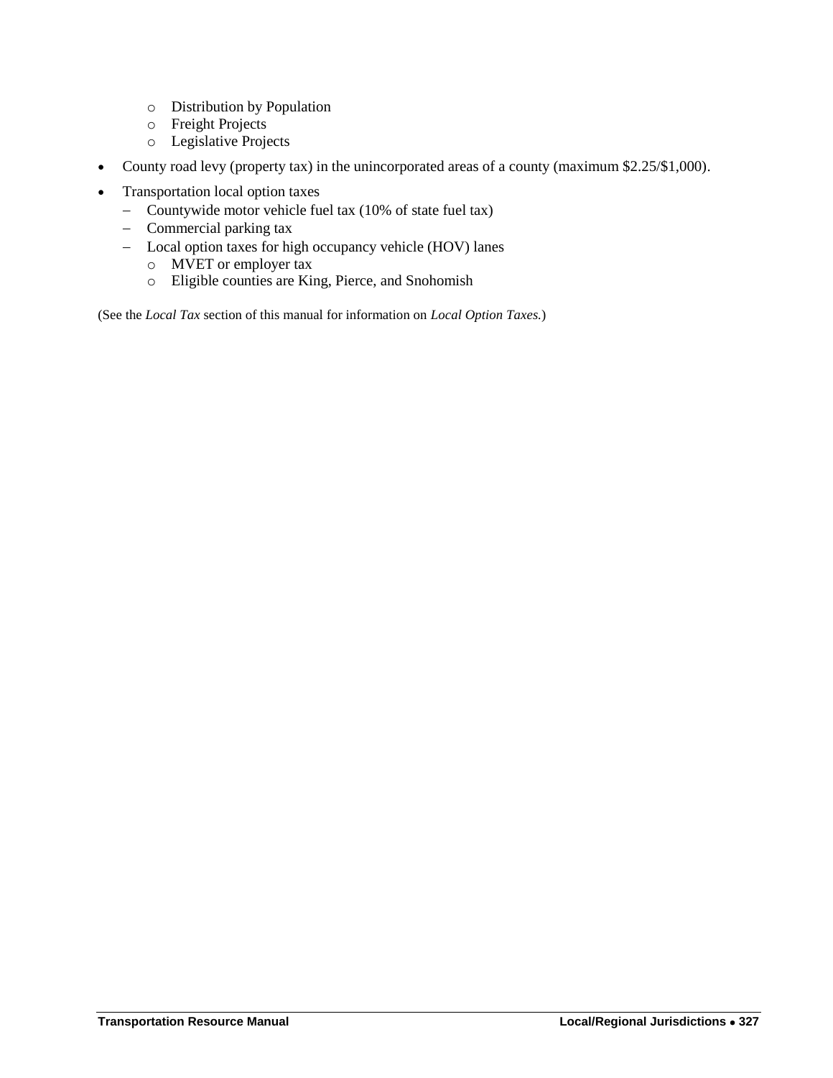- o Distribution by Population
- o Freight Projects
- o Legislative Projects
- County road levy (property tax) in the unincorporated areas of a county (maximum \$2.25/\$1,000).
- Transportation local option taxes
	- Countywide motor vehicle fuel tax (10% of state fuel tax)
	- Commercial parking tax
	- Local option taxes for high occupancy vehicle (HOV) lanes
		- o MVET or employer tax
		- o Eligible counties are King, Pierce, and Snohomish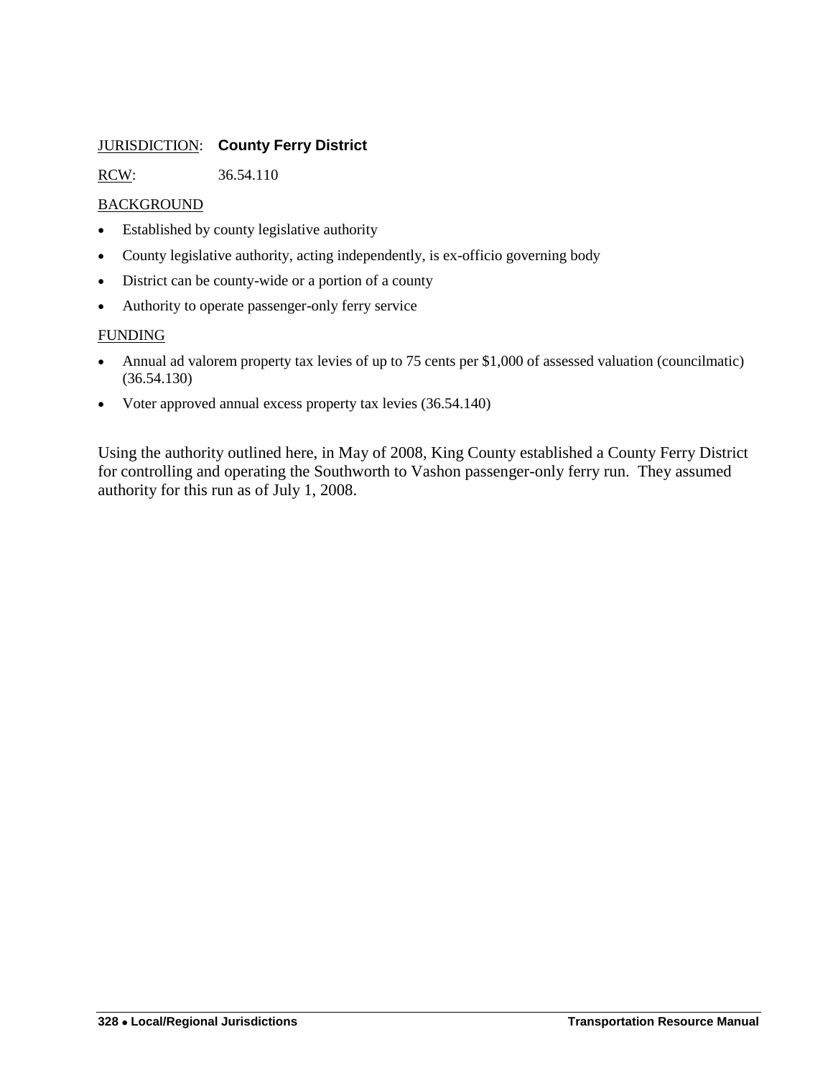# <span id="page-5-0"></span>JURISDICTION: **County Ferry District**

RCW: 36.54.110

# BACKGROUND

- Established by county legislative authority
- County legislative authority, acting independently, is ex-officio governing body
- District can be county-wide or a portion of a county
- Authority to operate passenger-only ferry service

# **FUNDING**

- Annual ad valorem property tax levies of up to 75 cents per \$1,000 of assessed valuation (councilmatic) (36.54.130)
- Voter approved annual excess property tax levies (36.54.140)

Using the authority outlined here, in May of 2008, King County established a County Ferry District for controlling and operating the Southworth to Vashon passenger-only ferry run. They assumed authority for this run as of July 1, 2008.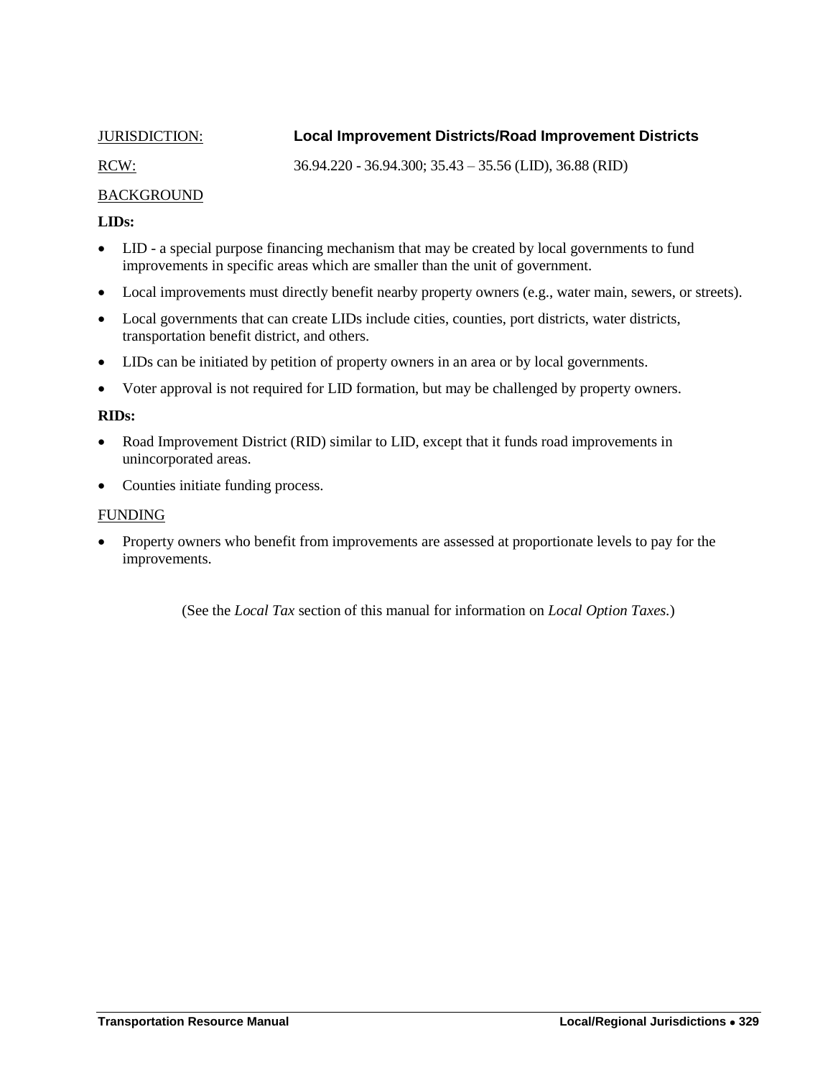# <span id="page-6-0"></span>JURISDICTION: **Local Improvement Districts/Road Improvement Districts**

RCW: 36.94.220 - 36.94.300; 35.43 – 35.56 (LID), 36.88 (RID)

# BACKGROUND

# **LIDs:**

- LID a special purpose financing mechanism that may be created by local governments to fund improvements in specific areas which are smaller than the unit of government.
- Local improvements must directly benefit nearby property owners (e.g., water main, sewers, or streets).
- Local governments that can create LIDs include cities, counties, port districts, water districts, transportation benefit district, and others.
- LIDs can be initiated by petition of property owners in an area or by local governments.
- Voter approval is not required for LID formation, but may be challenged by property owners.

# **RIDs:**

- Road Improvement District (RID) similar to LID, except that it funds road improvements in unincorporated areas.
- Counties initiate funding process.

# FUNDING

• Property owners who benefit from improvements are assessed at proportionate levels to pay for the improvements.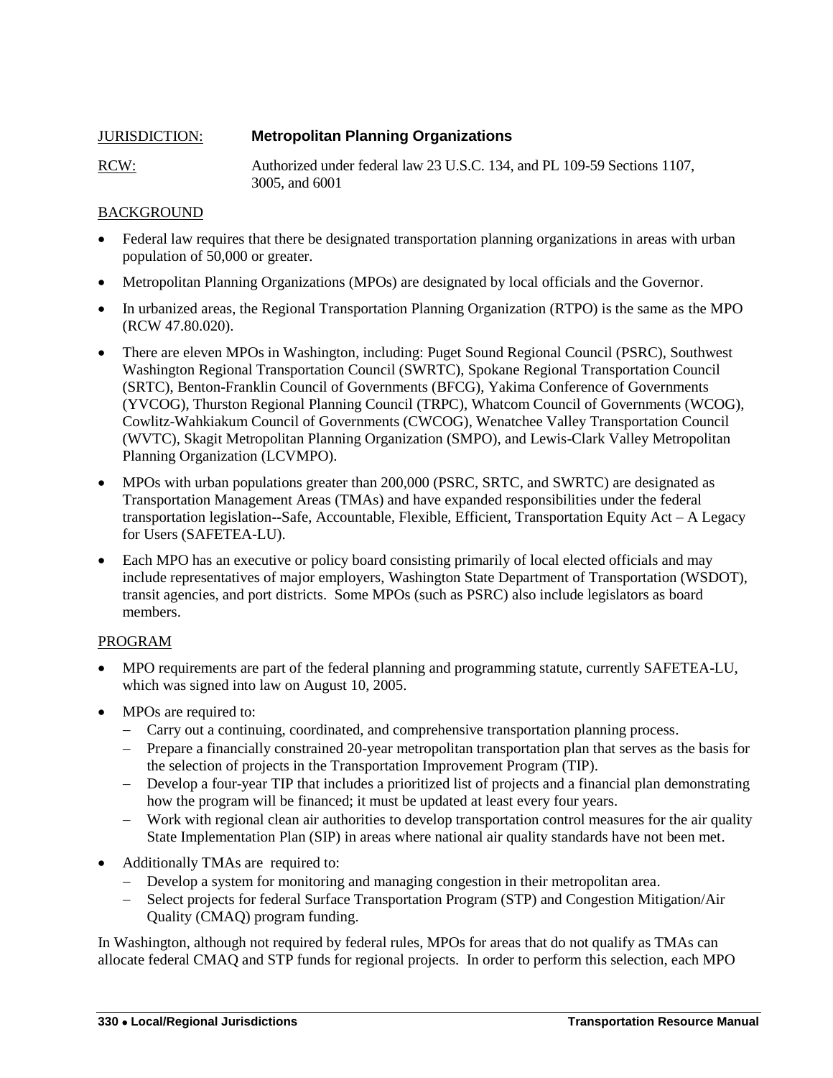<span id="page-7-0"></span>

| <b>JURISDICTION:</b> | <b>Metropolitan Planning Organizations</b>                                                 |
|----------------------|--------------------------------------------------------------------------------------------|
| RCW:                 | Authorized under federal law 23 U.S.C. 134, and PL 109-59 Sections 1107,<br>3005, and 6001 |

# BACKGROUND

- Federal law requires that there be designated transportation planning organizations in areas with urban population of 50,000 or greater.
- Metropolitan Planning Organizations (MPOs) are designated by local officials and the Governor.
- In urbanized areas, the Regional Transportation Planning Organization (RTPO) is the same as the MPO (RCW 47.80.020).
- There are eleven MPOs in Washington, including: Puget Sound Regional Council (PSRC), Southwest Washington Regional Transportation Council (SWRTC), Spokane Regional Transportation Council (SRTC), Benton-Franklin Council of Governments (BFCG), Yakima Conference of Governments (YVCOG), Thurston Regional Planning Council (TRPC), Whatcom Council of Governments (WCOG), Cowlitz-Wahkiakum Council of Governments (CWCOG), Wenatchee Valley Transportation Council (WVTC), Skagit Metropolitan Planning Organization (SMPO), and Lewis-Clark Valley Metropolitan Planning Organization (LCVMPO).
- MPOs with urban populations greater than 200,000 (PSRC, SRTC, and SWRTC) are designated as Transportation Management Areas (TMAs) and have expanded responsibilities under the federal transportation legislation--Safe, Accountable, Flexible, Efficient, Transportation Equity Act – A Legacy for Users (SAFETEA-LU).
- Each MPO has an executive or policy board consisting primarily of local elected officials and may include representatives of major employers, Washington State Department of Transportation (WSDOT), transit agencies, and port districts. Some MPOs (such as PSRC) also include legislators as board members.

# PROGRAM

- MPO requirements are part of the federal planning and programming statute, currently SAFETEA-LU, which was signed into law on August 10, 2005.
- MPOs are required to:
	- Carry out a continuing, coordinated, and comprehensive transportation planning process.
	- Prepare a financially constrained 20-year metropolitan transportation plan that serves as the basis for the selection of projects in the Transportation Improvement Program (TIP).
	- Develop a four-year TIP that includes a prioritized list of projects and a financial plan demonstrating how the program will be financed; it must be updated at least every four years.
	- Work with regional clean air authorities to develop transportation control measures for the air quality State Implementation Plan (SIP) in areas where national air quality standards have not been met.
- Additionally TMAs are required to:
	- Develop a system for monitoring and managing congestion in their metropolitan area.
	- Select projects for federal Surface Transportation Program (STP) and Congestion Mitigation/Air Quality (CMAQ) program funding.

In Washington, although not required by federal rules, MPOs for areas that do not qualify as TMAs can allocate federal CMAQ and STP funds for regional projects. In order to perform this selection, each MPO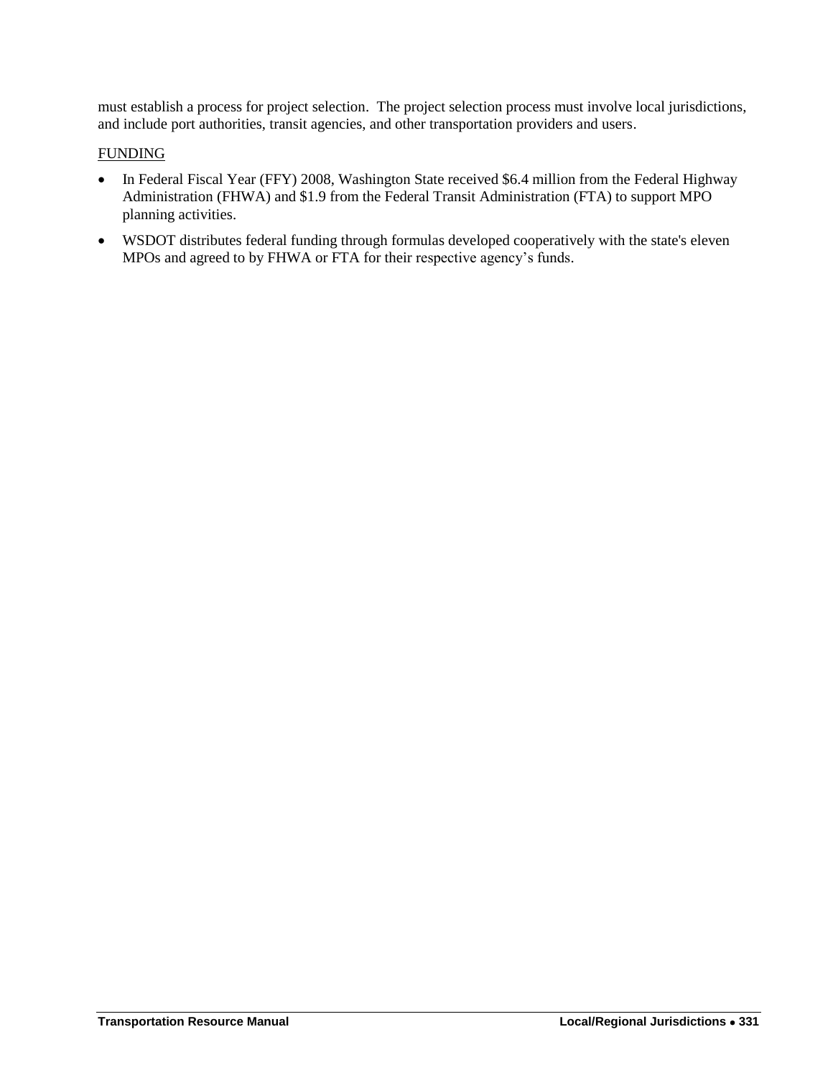must establish a process for project selection. The project selection process must involve local jurisdictions, and include port authorities, transit agencies, and other transportation providers and users.

# FUNDING

- In Federal Fiscal Year (FFY) 2008, Washington State received \$6.4 million from the Federal Highway Administration (FHWA) and \$1.9 from the Federal Transit Administration (FTA) to support MPO planning activities.
- WSDOT distributes federal funding through formulas developed cooperatively with the state's eleven MPOs and agreed to by FHWA or FTA for their respective agency's funds.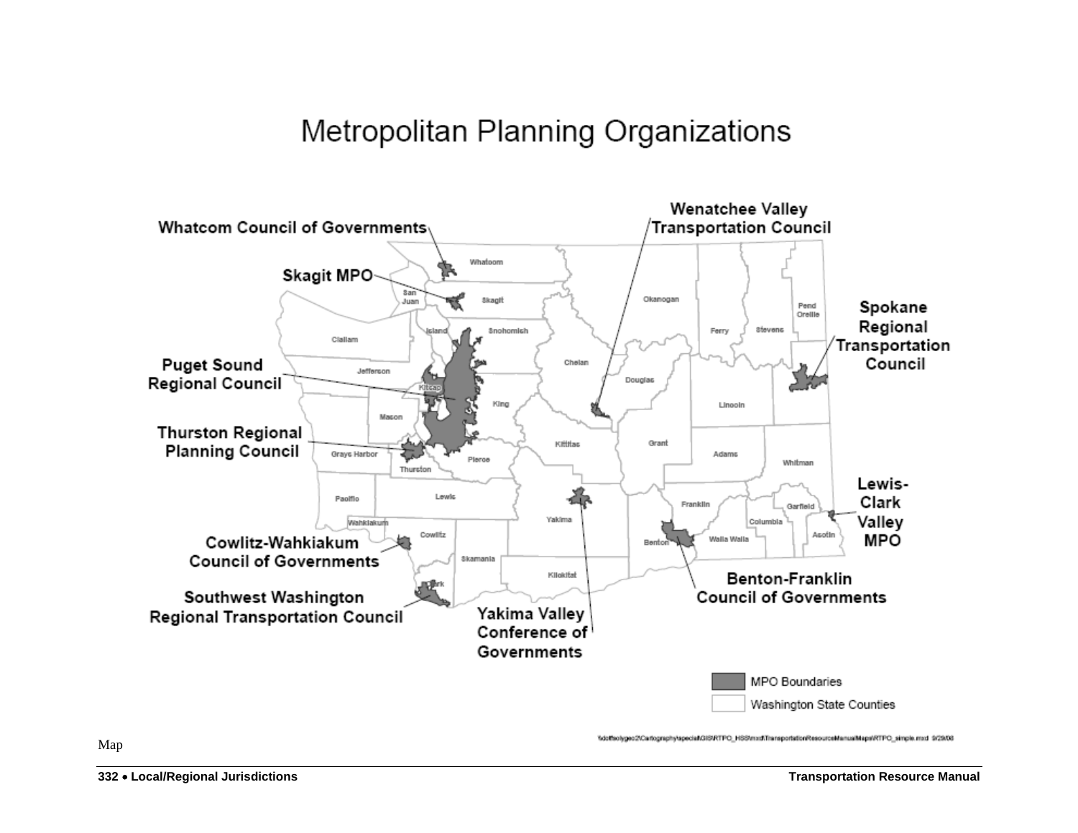# Metropolitan Planning Organizations



1dotteolygeo2tCartographytapecial/GIS/RTPO\_HSStmxd\TransportationResourceManualMaps/RTPO\_simple.mxd 9/29/08

Map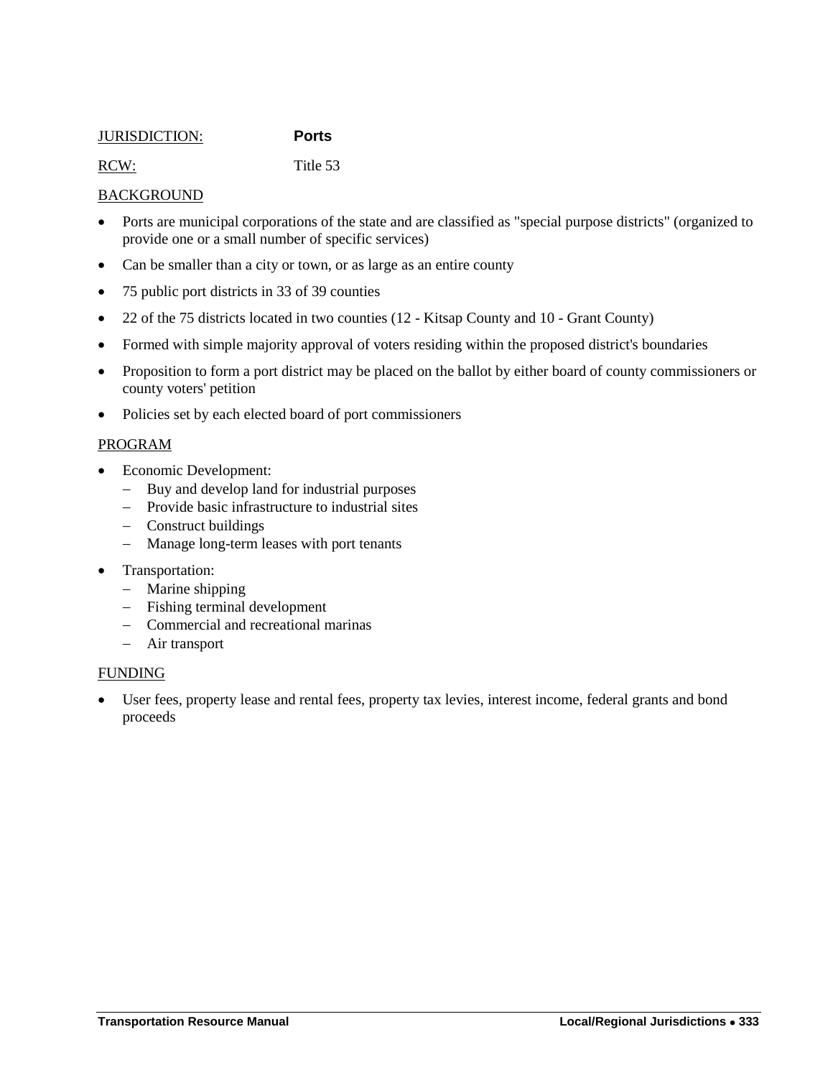### <span id="page-10-0"></span>JURISDICTION: **Ports**

RCW: Title 53

# **BACKGROUND**

- Ports are municipal corporations of the state and are classified as "special purpose districts" (organized to provide one or a small number of specific services)
- Can be smaller than a city or town, or as large as an entire county
- 75 public port districts in 33 of 39 counties
- 22 of the 75 districts located in two counties (12 Kitsap County and 10 Grant County)
- Formed with simple majority approval of voters residing within the proposed district's boundaries
- Proposition to form a port district may be placed on the ballot by either board of county commissioners or county voters' petition
- Policies set by each elected board of port commissioners

# PROGRAM

- Economic Development:
	- Buy and develop land for industrial purposes
	- Provide basic infrastructure to industrial sites
	- Construct buildings
	- Manage long-term leases with port tenants
- Transportation:
	- Marine shipping
	- Fishing terminal development
	- Commercial and recreational marinas
	- Air transport

# FUNDING

 User fees, property lease and rental fees, property tax levies, interest income, federal grants and bond proceeds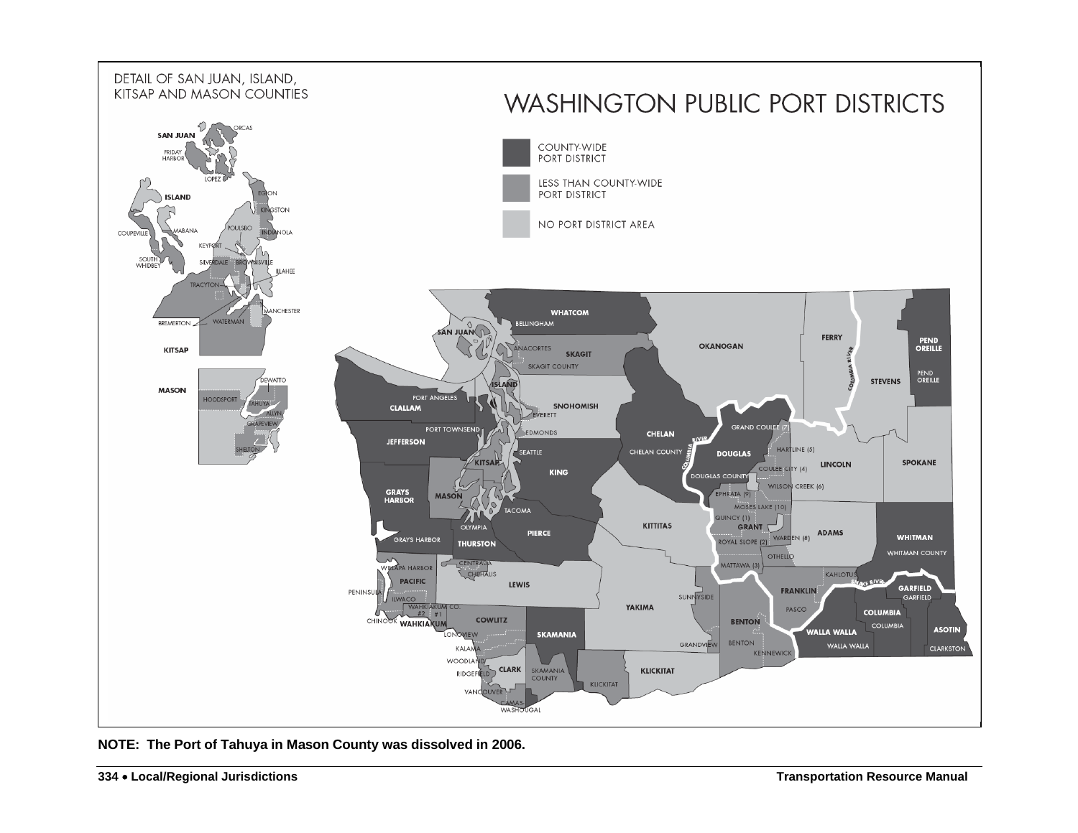

**NOTE: The Port of Tahuya in Mason County was dissolved in 2006.**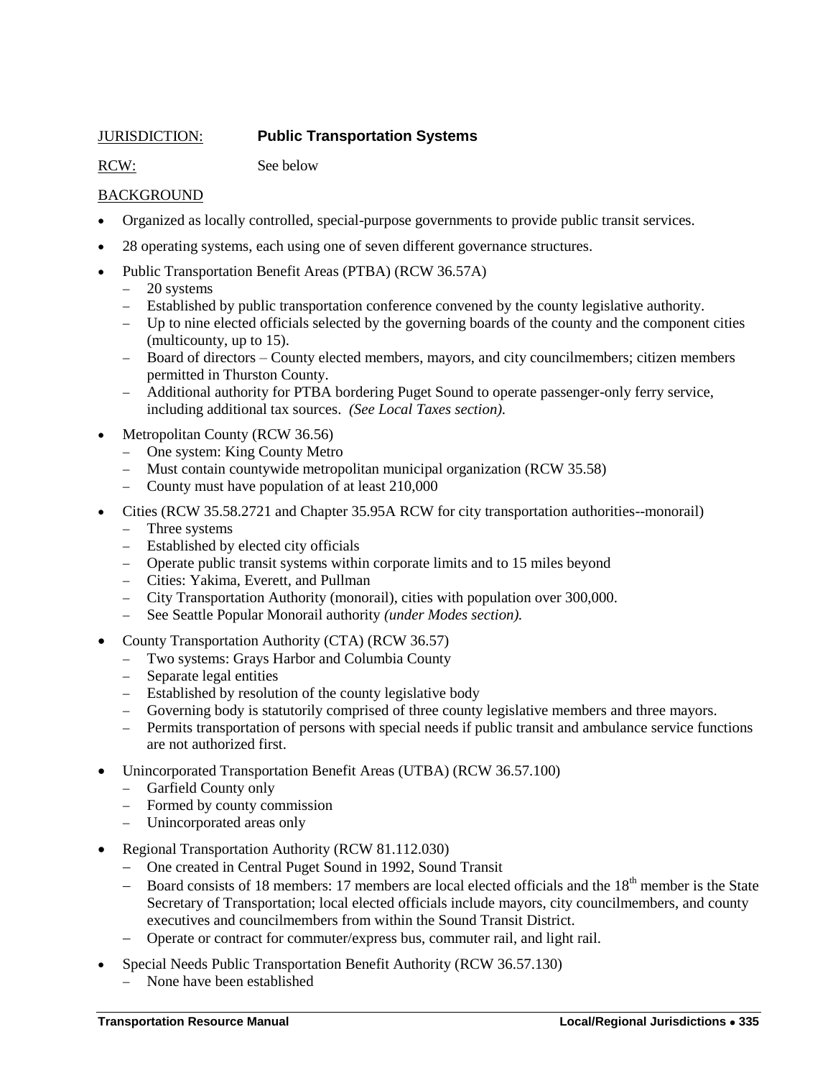# <span id="page-12-0"></span>JURISDICTION: **Public Transportation Systems**

RCW: See below

# BACKGROUND

- Organized as locally controlled, special-purpose governments to provide public transit services.
- 28 operating systems, each using one of seven different governance structures.
- Public Transportation Benefit Areas (PTBA) (RCW 36.57A)
	- 20 systems
	- Established by public transportation conference convened by the county legislative authority.
	- Up to nine elected officials selected by the governing boards of the county and the component cities (multicounty, up to 15).
	- Board of directors County elected members, mayors, and city councilmembers; citizen members permitted in Thurston County.
	- Additional authority for PTBA bordering Puget Sound to operate passenger-only ferry service, including additional tax sources. *(See Local Taxes section).*
- Metropolitan County (RCW 36.56)
	- One system: King County Metro
	- Must contain countywide metropolitan municipal organization (RCW 35.58)
	- County must have population of at least 210,000
- Cities (RCW 35.58.2721 and Chapter 35.95A RCW for city transportation authorities--monorail)
	- Three systems
	- Established by elected city officials
	- Operate public transit systems within corporate limits and to 15 miles beyond
	- Cities: Yakima, Everett, and Pullman
	- City Transportation Authority (monorail), cities with population over 300,000.
	- See Seattle Popular Monorail authority *(under Modes section).*
- County Transportation Authority (CTA) (RCW 36.57)
	- Two systems: Grays Harbor and Columbia County
	- Separate legal entities
	- Established by resolution of the county legislative body
	- Governing body is statutorily comprised of three county legislative members and three mayors.
	- Permits transportation of persons with special needs if public transit and ambulance service functions are not authorized first.
- Unincorporated Transportation Benefit Areas (UTBA) (RCW 36.57.100)
	- Garfield County only
	- Formed by county commission
	- Unincorporated areas only
- Regional Transportation Authority (RCW 81.112.030)
	- One created in Central Puget Sound in 1992, Sound Transit
	- Board consists of 18 members: 17 members are local elected officials and the  $18<sup>th</sup>$  member is the State Secretary of Transportation; local elected officials include mayors, city councilmembers, and county executives and councilmembers from within the Sound Transit District.
	- Operate or contract for commuter/express bus, commuter rail, and light rail.
- Special Needs Public Transportation Benefit Authority (RCW 36.57.130)
	- None have been established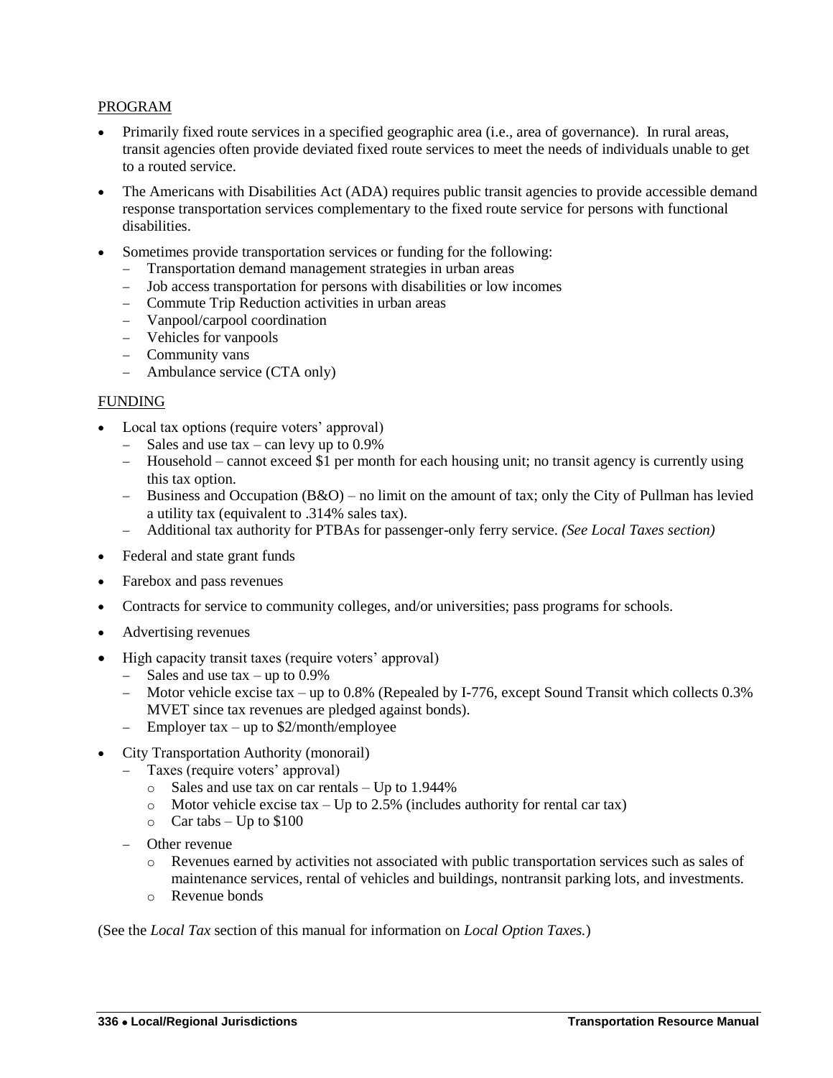# PROGRAM

- Primarily fixed route services in a specified geographic area (i.e., area of governance). In rural areas, transit agencies often provide deviated fixed route services to meet the needs of individuals unable to get to a routed service.
- The Americans with Disabilities Act (ADA) requires public transit agencies to provide accessible demand response transportation services complementary to the fixed route service for persons with functional disabilities.
- Sometimes provide transportation services or funding for the following:
	- Transportation demand management strategies in urban areas
	- Job access transportation for persons with disabilities or low incomes
	- Commute Trip Reduction activities in urban areas
	- Vanpool/carpool coordination
	- Vehicles for vanpools
	- Community vans
	- Ambulance service (CTA only)

# FUNDING

- Local tax options (require voters' approval)
	- $-$  Sales and use tax can levy up to 0.9%
	- Household cannot exceed \$1 per month for each housing unit; no transit agency is currently using this tax option.
	- Business and Occupation  $(B&O)$  no limit on the amount of tax; only the City of Pullman has levied a utility tax (equivalent to .314% sales tax).
	- Additional tax authority for PTBAs for passenger-only ferry service. *(See Local Taxes section)*
- Federal and state grant funds
- Farebox and pass revenues
- Contracts for service to community colleges, and/or universities; pass programs for schools.
- Advertising revenues
- High capacity transit taxes (require voters' approval)
	- $-$  Sales and use tax  $-$  up to 0.9%
	- Motor vehicle excise tax up to 0.8% (Repealed by I-776, except Sound Transit which collects 0.3% MVET since tax revenues are pledged against bonds).
	- $\equiv$  Employer tax up to \$2/month/employee
- City Transportation Authority (monorail)
	- Taxes (require voters' approval)
		- o Sales and use tax on car rentals Up to 1.944%
		- o Motor vehicle excise tax Up to 2.5% (includes authority for rental car tax)
		- $\circ$  Car tabs Up to \$100
	- Other revenue
		- o Revenues earned by activities not associated with public transportation services such as sales of maintenance services, rental of vehicles and buildings, nontransit parking lots, and investments.
		- o Revenue bonds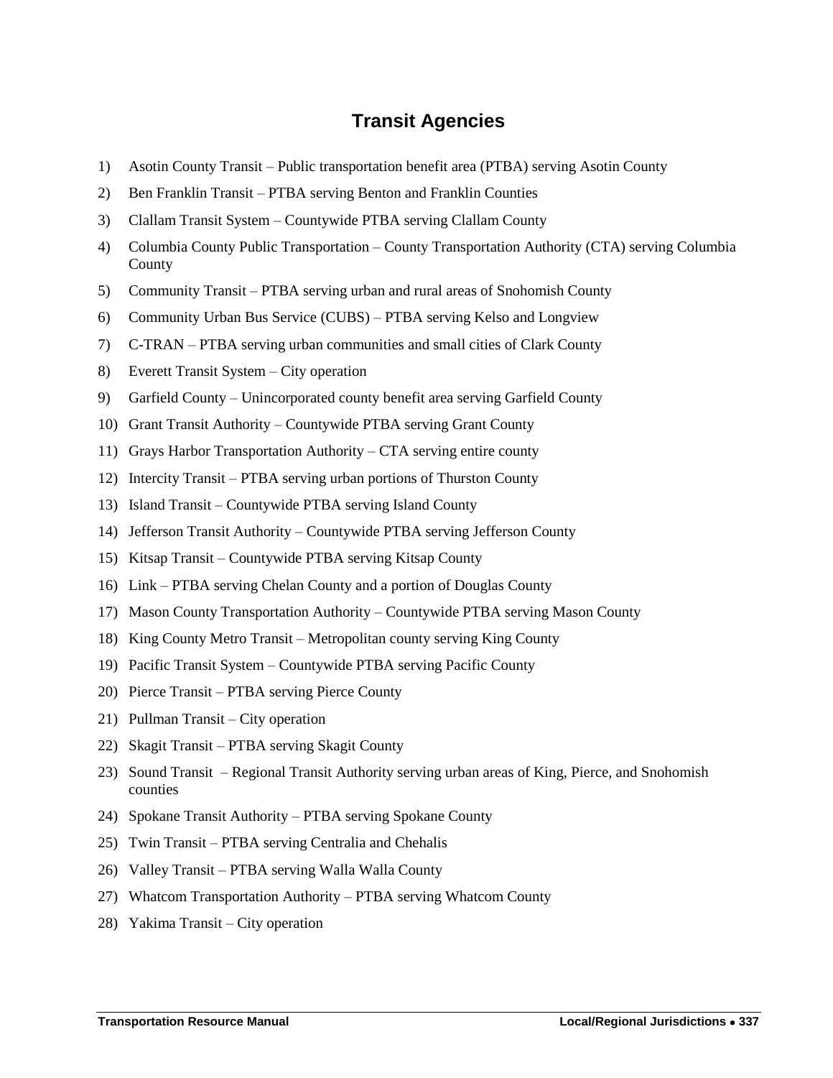# **Transit Agencies**

- <span id="page-14-0"></span>1) Asotin County Transit – Public transportation benefit area (PTBA) serving Asotin County
- 2) Ben Franklin Transit PTBA serving Benton and Franklin Counties
- 3) Clallam Transit System Countywide PTBA serving Clallam County
- 4) Columbia County Public Transportation County Transportation Authority (CTA) serving Columbia County
- 5) Community Transit PTBA serving urban and rural areas of Snohomish County
- 6) Community Urban Bus Service (CUBS) PTBA serving Kelso and Longview
- 7) C-TRAN PTBA serving urban communities and small cities of Clark County
- 8) Everett Transit System City operation
- 9) Garfield County Unincorporated county benefit area serving Garfield County
- 10) Grant Transit Authority Countywide PTBA serving Grant County
- 11) Grays Harbor Transportation Authority CTA serving entire county
- 12) Intercity Transit PTBA serving urban portions of Thurston County
- 13) Island Transit Countywide PTBA serving Island County
- 14) Jefferson Transit Authority Countywide PTBA serving Jefferson County
- 15) Kitsap Transit Countywide PTBA serving Kitsap County
- 16) Link PTBA serving Chelan County and a portion of Douglas County
- 17) Mason County Transportation Authority Countywide PTBA serving Mason County
- 18) King County Metro Transit Metropolitan county serving King County
- 19) Pacific Transit System Countywide PTBA serving Pacific County
- 20) Pierce Transit PTBA serving Pierce County
- 21) Pullman Transit City operation
- 22) Skagit Transit PTBA serving Skagit County
- 23) Sound Transit Regional Transit Authority serving urban areas of King, Pierce, and Snohomish counties
- 24) Spokane Transit Authority PTBA serving Spokane County
- 25) Twin Transit PTBA serving Centralia and Chehalis
- 26) Valley Transit PTBA serving Walla Walla County
- 27) Whatcom Transportation Authority PTBA serving Whatcom County
- 28) Yakima Transit City operation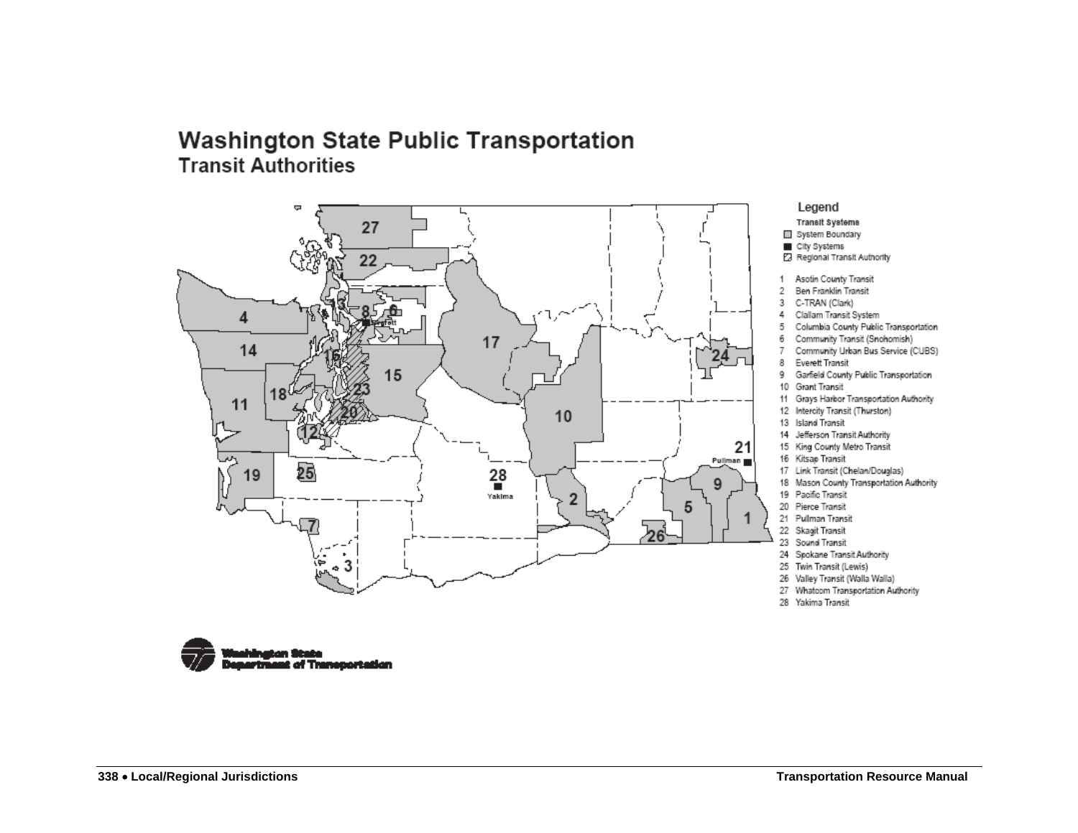# **Washington State Public Transportation Transit Authorities**



#### Legend Transit Systems

System Boundary

- City Systems
- Regional Transit Authority
- 1 Asotin County Transit
- 2 Ben Franklin Transit
- 3 C-TRAN (Clark)
- Clallam Transit System 4.
- 5 Columbia County Public Transportation
- 6 Community Transit (Snohomish)
- Community Urban Bus Service (CUBS) 7.
- 8 Everett Transit
- 9 Garfield County Public Transportation
- 10 Grant Transit
- 11 Grays Harkor Transportation Authority
- 12 Intercity Transit (Thurston)
- 13 Island Transit
- 14 Jefferson Transit Authority
- 15 King County Metro Transit
- 16 Kitsap Transit
- 17 Link Transit (Chelan/Douglas)
- 18 Mason County Transportation Authority
- 19 Pacific Transit
- 20 Pierce Transit
- 21 Pullman Transit 22 Skaqit Transit
- 23 Sound Transit
- 24 Spokane Transit Authority
- 25 Twin Transit (Lewis)
- 26 Valley Transit (Walla Walla)
- 27 Whatcom Transportation Authority
- 28 Yakima Transit

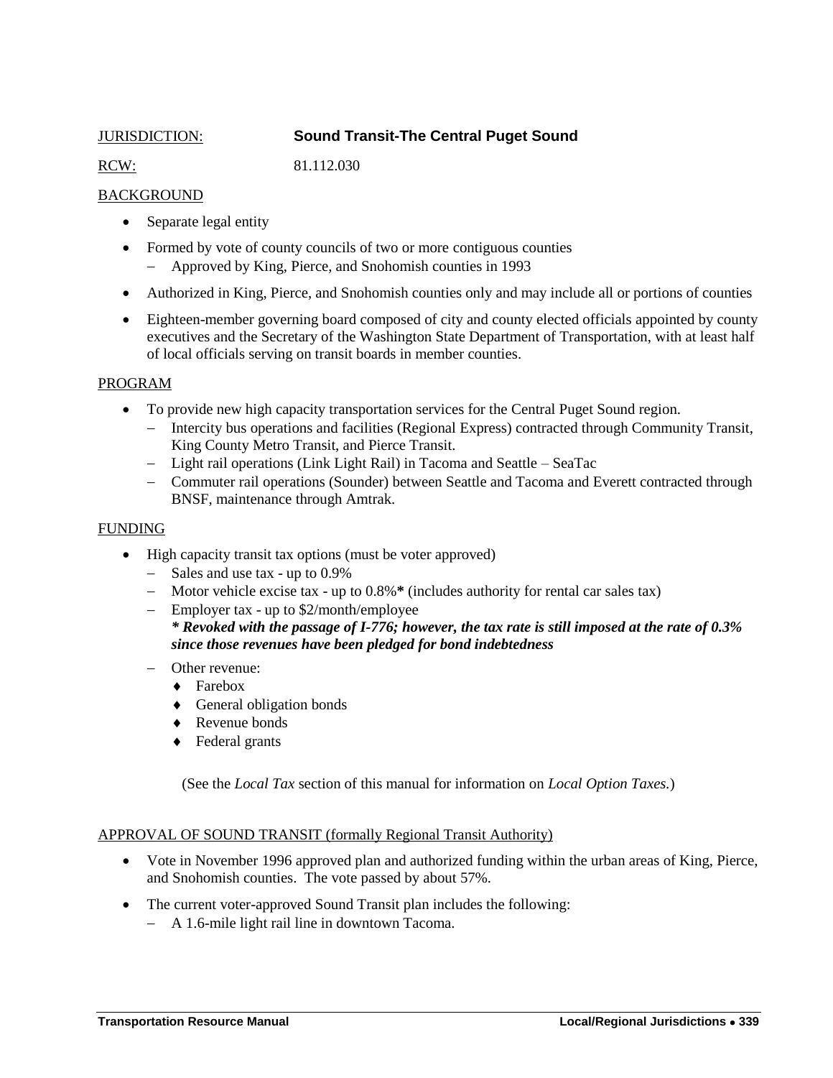# <span id="page-16-0"></span>JURISDICTION: **Sound Transit-The Central Puget Sound**

RCW: 81.112.030

# **BACKGROUND**

- Separate legal entity
- Formed by vote of county councils of two or more contiguous counties Approved by King, Pierce, and Snohomish counties in 1993
- Authorized in King, Pierce, and Snohomish counties only and may include all or portions of counties
- Eighteen-member governing board composed of city and county elected officials appointed by county executives and the Secretary of the Washington State Department of Transportation, with at least half of local officials serving on transit boards in member counties.

# PROGRAM

- To provide new high capacity transportation services for the Central Puget Sound region.
	- Intercity bus operations and facilities (Regional Express) contracted through Community Transit, King County Metro Transit, and Pierce Transit.
	- Light rail operations (Link Light Rail) in Tacoma and Seattle SeaTac
	- Commuter rail operations (Sounder) between Seattle and Tacoma and Everett contracted through BNSF, maintenance through Amtrak.

# FUNDING

- High capacity transit tax options (must be voter approved)
	- Sales and use tax up to 0.9%
	- Motor vehicle excise tax up to 0.8%**\*** (includes authority for rental car sales tax)
	- Employer tax up to \$2/month/employee *\* Revoked with the passage of I-776; however, the tax rate is still imposed at the rate of 0.3% since those revenues have been pledged for bond indebtedness*
	- Other revenue:
		- ◆ Farebox
		- General obligation bonds
		- ◆ Revenue bonds
		- ◆ Federal grants

(See the *Local Tax* section of this manual for information on *Local Option Taxes.*)

# APPROVAL OF SOUND TRANSIT (formally Regional Transit Authority)

- Vote in November 1996 approved plan and authorized funding within the urban areas of King, Pierce, and Snohomish counties. The vote passed by about 57%.
- The current voter-approved Sound Transit plan includes the following:
	- A 1.6-mile light rail line in downtown Tacoma.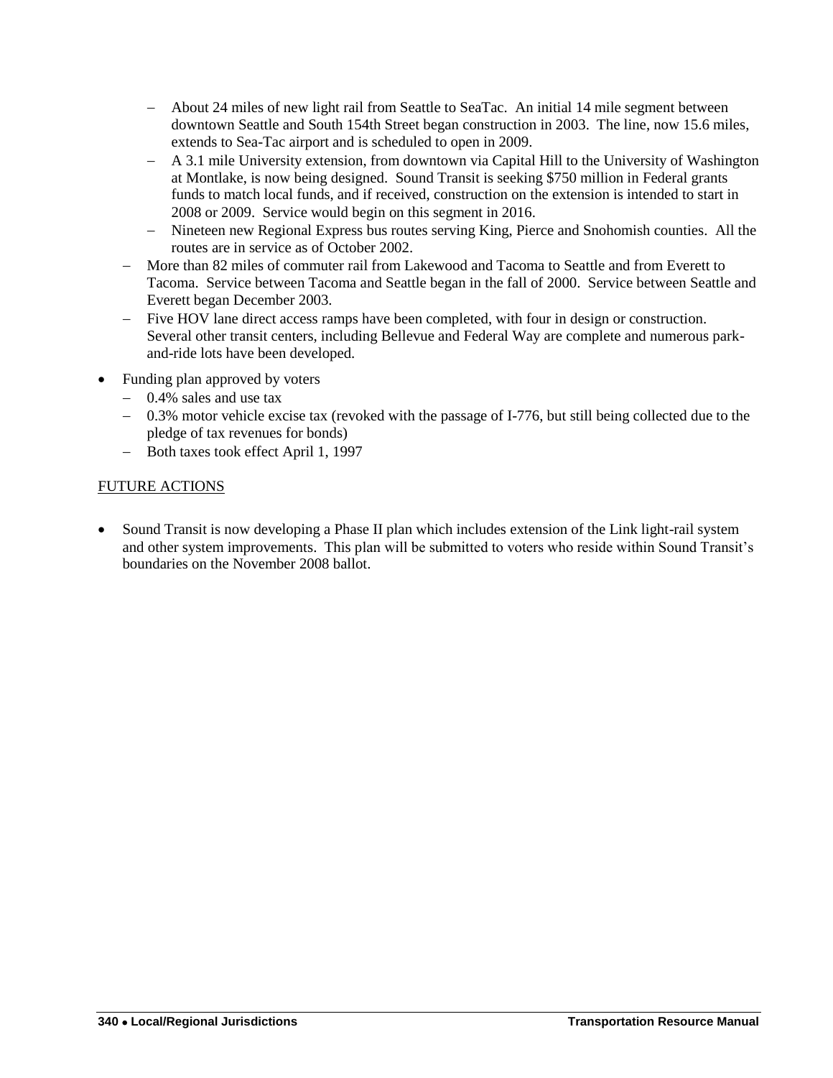- About 24 miles of new light rail from Seattle to SeaTac. An initial 14 mile segment between downtown Seattle and South 154th Street began construction in 2003. The line, now 15.6 miles, extends to Sea-Tac airport and is scheduled to open in 2009.
- A 3.1 mile University extension, from downtown via Capital Hill to the University of Washington at Montlake, is now being designed. Sound Transit is seeking \$750 million in Federal grants funds to match local funds, and if received, construction on the extension is intended to start in 2008 or 2009. Service would begin on this segment in 2016.
- Nineteen new Regional Express bus routes serving King, Pierce and Snohomish counties. All the routes are in service as of October 2002.
- More than 82 miles of commuter rail from Lakewood and Tacoma to Seattle and from Everett to Tacoma. Service between Tacoma and Seattle began in the fall of 2000. Service between Seattle and Everett began December 2003.
- Five HOV lane direct access ramps have been completed, with four in design or construction. Several other transit centers, including Bellevue and Federal Way are complete and numerous parkand-ride lots have been developed.
- Funding plan approved by voters
	- 0.4% sales and use tax
	- 0.3% motor vehicle excise tax (revoked with the passage of I-776, but still being collected due to the pledge of tax revenues for bonds)
	- Both taxes took effect April 1, 1997

# FUTURE ACTIONS

 Sound Transit is now developing a Phase II plan which includes extension of the Link light-rail system and other system improvements. This plan will be submitted to voters who reside within Sound Transit's boundaries on the November 2008 ballot.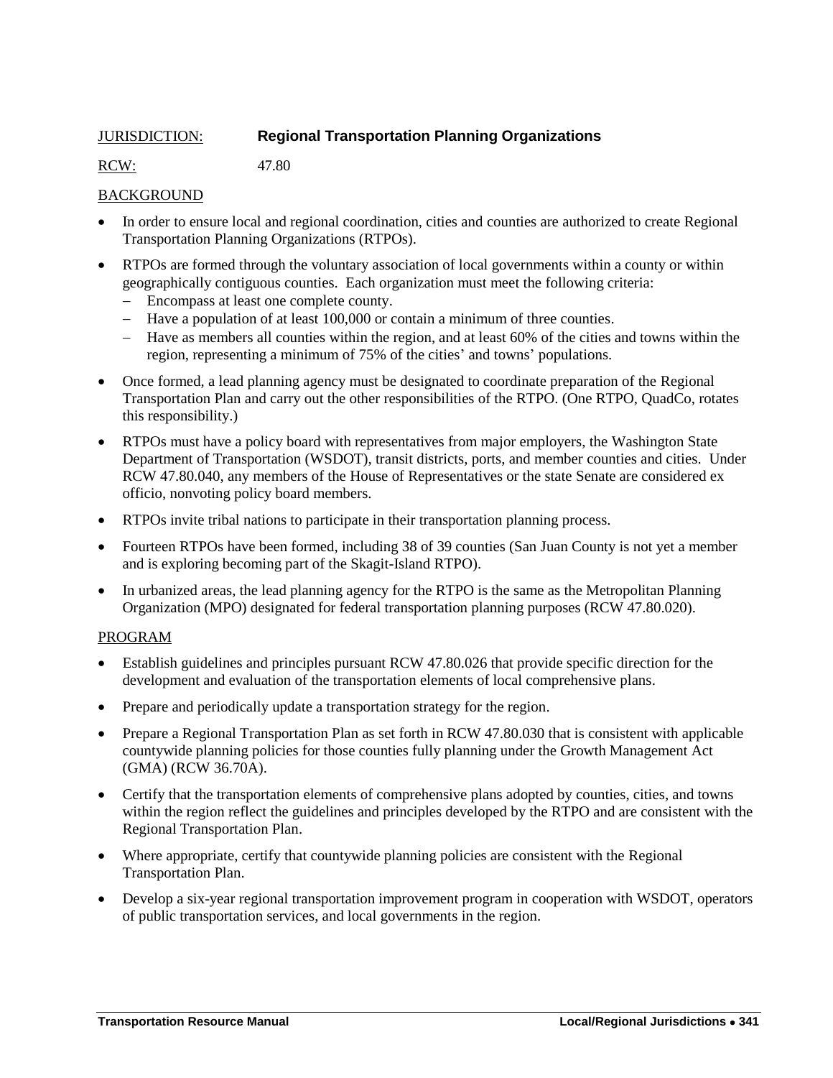# <span id="page-18-0"></span>JURISDICTION: **Regional Transportation Planning Organizations**

RCW: 47.80

# BACKGROUND

- In order to ensure local and regional coordination, cities and counties are authorized to create Regional Transportation Planning Organizations (RTPOs).
- RTPOs are formed through the voluntary association of local governments within a county or within geographically contiguous counties. Each organization must meet the following criteria:
	- Encompass at least one complete county.
	- Have a population of at least 100,000 or contain a minimum of three counties.
	- Have as members all counties within the region, and at least 60% of the cities and towns within the region, representing a minimum of 75% of the cities' and towns' populations.
- Once formed, a lead planning agency must be designated to coordinate preparation of the Regional Transportation Plan and carry out the other responsibilities of the RTPO. (One RTPO, QuadCo, rotates this responsibility.)
- RTPOs must have a policy board with representatives from major employers, the Washington State Department of Transportation (WSDOT), transit districts, ports, and member counties and cities. Under RCW 47.80.040, any members of the House of Representatives or the state Senate are considered ex officio, nonvoting policy board members.
- RTPOs invite tribal nations to participate in their transportation planning process.
- Fourteen RTPOs have been formed, including 38 of 39 counties (San Juan County is not yet a member and is exploring becoming part of the Skagit-Island RTPO).
- In urbanized areas, the lead planning agency for the RTPO is the same as the Metropolitan Planning Organization (MPO) designated for federal transportation planning purposes (RCW 47.80.020).

# PROGRAM

- Establish guidelines and principles pursuant RCW 47.80.026 that provide specific direction for the development and evaluation of the transportation elements of local comprehensive plans.
- Prepare and periodically update a transportation strategy for the region.
- Prepare a Regional Transportation Plan as set forth in RCW 47.80.030 that is consistent with applicable countywide planning policies for those counties fully planning under the Growth Management Act (GMA) (RCW 36.70A).
- Certify that the transportation elements of comprehensive plans adopted by counties, cities, and towns within the region reflect the guidelines and principles developed by the RTPO and are consistent with the Regional Transportation Plan.
- Where appropriate, certify that countywide planning policies are consistent with the Regional Transportation Plan.
- Develop a six-year regional transportation improvement program in cooperation with WSDOT, operators of public transportation services, and local governments in the region.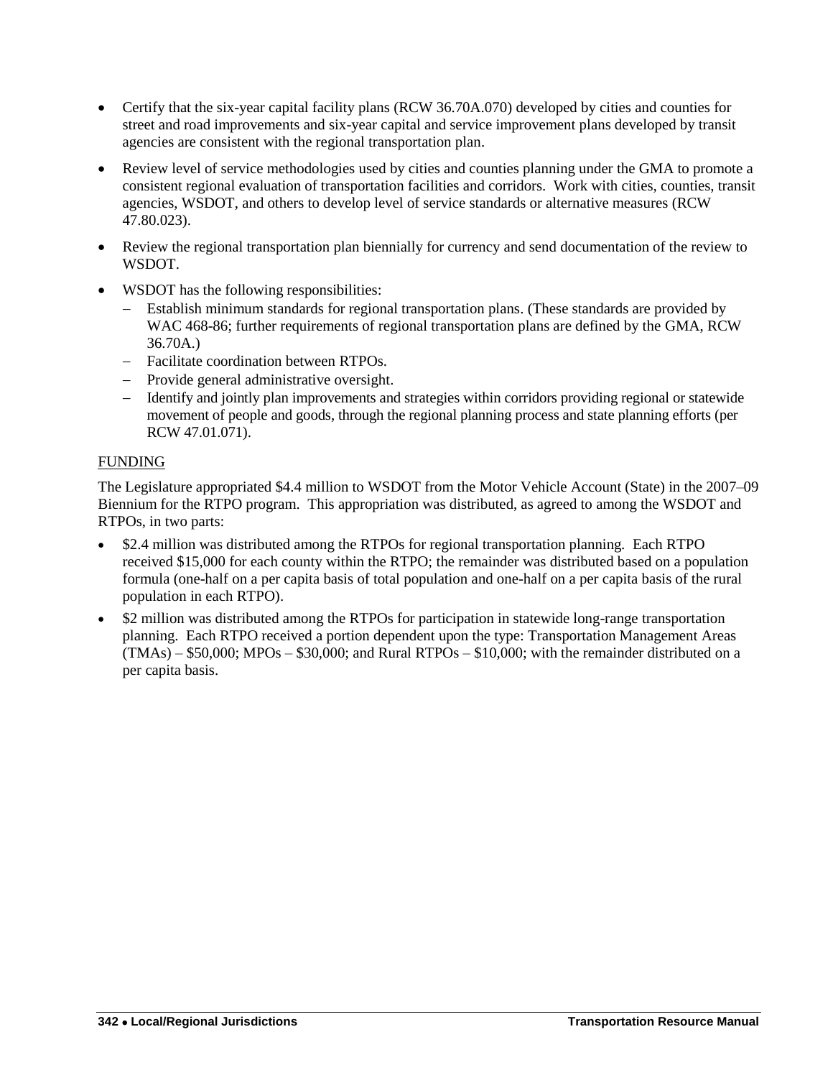- Certify that the six-year capital facility plans (RCW 36.70A.070) developed by cities and counties for street and road improvements and six-year capital and service improvement plans developed by transit agencies are consistent with the regional transportation plan.
- Review level of service methodologies used by cities and counties planning under the GMA to promote a consistent regional evaluation of transportation facilities and corridors. Work with cities, counties, transit agencies, WSDOT, and others to develop level of service standards or alternative measures (RCW 47.80.023).
- Review the regional transportation plan biennially for currency and send documentation of the review to WSDOT.
- WSDOT has the following responsibilities:
	- Establish minimum standards for regional transportation plans. (These standards are provided by WAC 468-86; further requirements of regional transportation plans are defined by the GMA, RCW 36.70A.)
	- Facilitate coordination between RTPOs.
	- Provide general administrative oversight.
	- Identify and jointly plan improvements and strategies within corridors providing regional or statewide movement of people and goods, through the regional planning process and state planning efforts (per RCW 47.01.071).

# FUNDING

The Legislature appropriated \$4.4 million to WSDOT from the Motor Vehicle Account (State) in the 2007–09 Biennium for the RTPO program. This appropriation was distributed, as agreed to among the WSDOT and RTPOs, in two parts:

- \$2.4 million was distributed among the RTPOs for regional transportation planning. Each RTPO received \$15,000 for each county within the RTPO; the remainder was distributed based on a population formula (one-half on a per capita basis of total population and one-half on a per capita basis of the rural population in each RTPO).
- \$2 million was distributed among the RTPOs for participation in statewide long-range transportation planning. Each RTPO received a portion dependent upon the type: Transportation Management Areas  $(TMAs) - $50,000$ ; MPOs  $- $30,000$ ; and Rural RTPOs  $- $10,000$ ; with the remainder distributed on a per capita basis.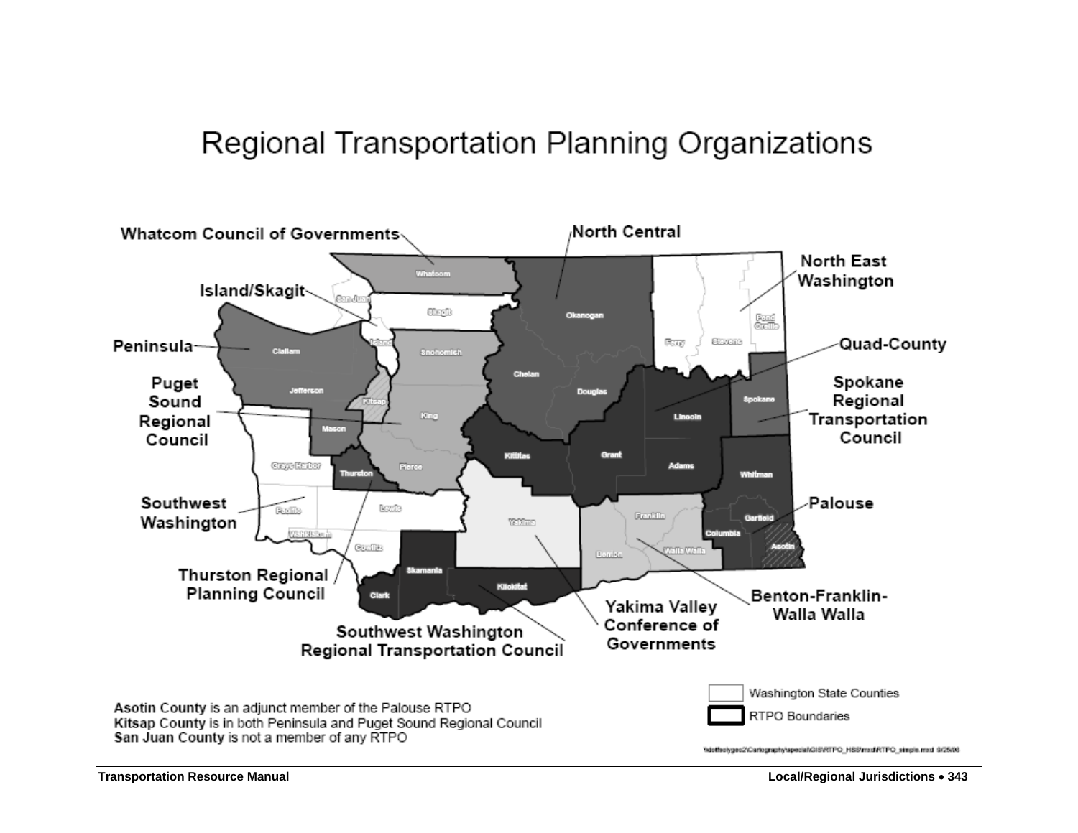# Regional Transportation Planning Organizations

<span id="page-20-0"></span>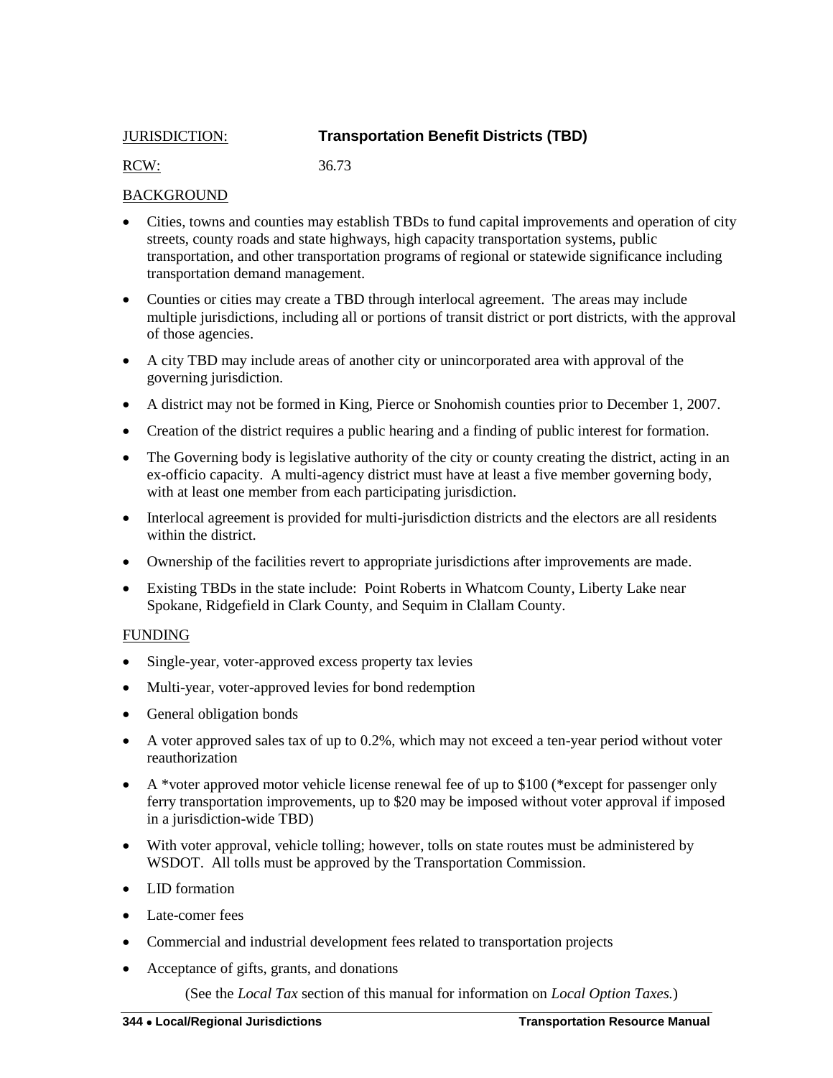# <span id="page-21-0"></span>JURISDICTION: **Transportation Benefit Districts (TBD)**

# RCW: 36.73

# BACKGROUND

- Cities, towns and counties may establish TBDs to fund capital improvements and operation of city streets, county roads and state highways, high capacity transportation systems, public transportation, and other transportation programs of regional or statewide significance including transportation demand management.
- Counties or cities may create a TBD through interlocal agreement. The areas may include multiple jurisdictions, including all or portions of transit district or port districts, with the approval of those agencies.
- A city TBD may include areas of another city or unincorporated area with approval of the governing jurisdiction.
- A district may not be formed in King, Pierce or Snohomish counties prior to December 1, 2007.
- Creation of the district requires a public hearing and a finding of public interest for formation.
- The Governing body is legislative authority of the city or county creating the district, acting in an ex-officio capacity. A multi-agency district must have at least a five member governing body, with at least one member from each participating jurisdiction.
- Interlocal agreement is provided for multi-jurisdiction districts and the electors are all residents within the district.
- Ownership of the facilities revert to appropriate jurisdictions after improvements are made.
- Existing TBDs in the state include: Point Roberts in Whatcom County, Liberty Lake near Spokane, Ridgefield in Clark County, and Sequim in Clallam County.

# FUNDING

- Single-year, voter-approved excess property tax levies
- Multi-year, voter-approved levies for bond redemption
- General obligation bonds
- A voter approved sales tax of up to 0.2%, which may not exceed a ten-year period without voter reauthorization
- $\blacklozenge$  A \*voter approved motor vehicle license renewal fee of up to \$100 (\*except for passenger only ferry transportation improvements, up to \$20 may be imposed without voter approval if imposed in a jurisdiction-wide TBD)
- With voter approval, vehicle tolling; however, tolls on state routes must be administered by WSDOT. All tolls must be approved by the Transportation Commission.
- LID formation
- Late-comer fees
- Commercial and industrial development fees related to transportation projects
- Acceptance of gifts, grants, and donations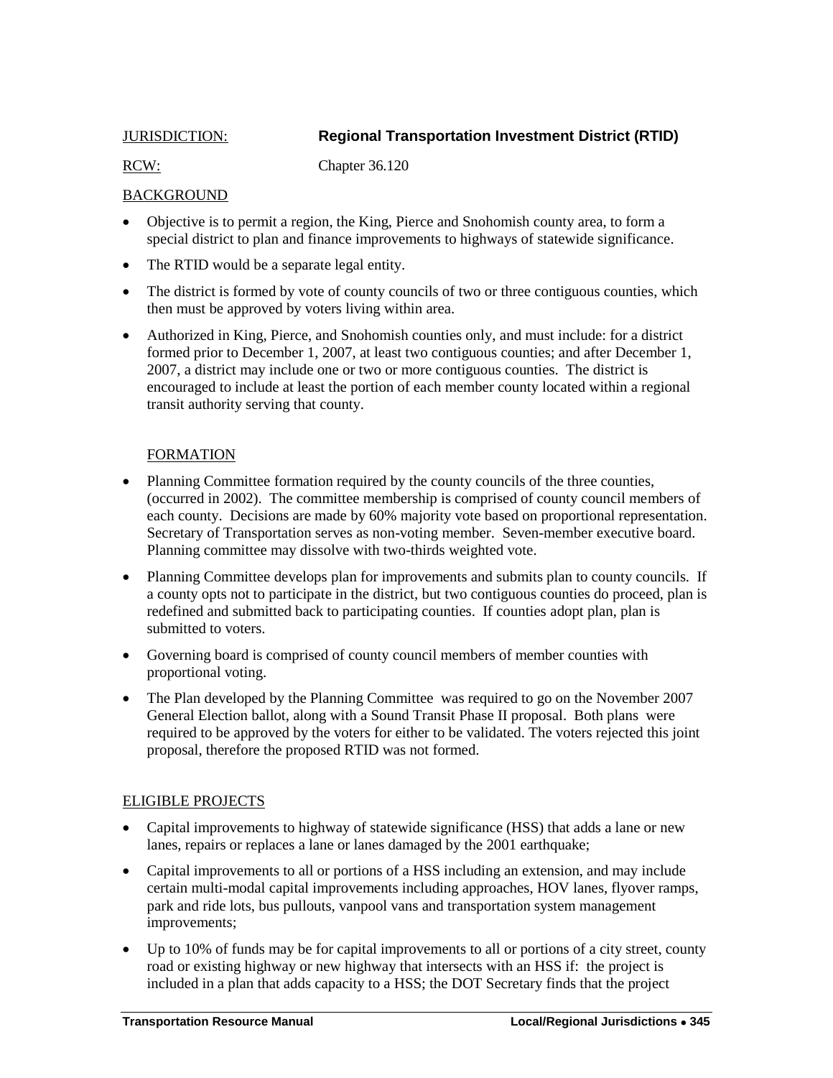<span id="page-22-0"></span>

# JURISDICTION: **Regional Transportation Investment District (RTID)**

RCW: Chapter 36.120

# BACKGROUND

- Objective is to permit a region, the King, Pierce and Snohomish county area, to form a special district to plan and finance improvements to highways of statewide significance.
- The RTID would be a separate legal entity.
- The district is formed by vote of county councils of two or three contiguous counties, which then must be approved by voters living within area.
- Authorized in King, Pierce, and Snohomish counties only, and must include: for a district formed prior to December 1, 2007, at least two contiguous counties; and after December 1, 2007, a district may include one or two or more contiguous counties. The district is encouraged to include at least the portion of each member county located within a regional transit authority serving that county.

# FORMATION

- Planning Committee formation required by the county councils of the three counties, (occurred in 2002). The committee membership is comprised of county council members of each county. Decisions are made by 60% majority vote based on proportional representation. Secretary of Transportation serves as non-voting member. Seven-member executive board. Planning committee may dissolve with two-thirds weighted vote.
- Planning Committee develops plan for improvements and submits plan to county councils. If a county opts not to participate in the district, but two contiguous counties do proceed, plan is redefined and submitted back to participating counties. If counties adopt plan, plan is submitted to voters.
- Governing board is comprised of county council members of member counties with proportional voting.
- The Plan developed by the Planning Committee was required to go on the November 2007 General Election ballot, along with a Sound Transit Phase II proposal. Both plans were required to be approved by the voters for either to be validated. The voters rejected this joint proposal, therefore the proposed RTID was not formed.

# ELIGIBLE PROJECTS

- Capital improvements to highway of statewide significance (HSS) that adds a lane or new lanes, repairs or replaces a lane or lanes damaged by the 2001 earthquake;
- Capital improvements to all or portions of a HSS including an extension, and may include certain multi-modal capital improvements including approaches, HOV lanes, flyover ramps, park and ride lots, bus pullouts, vanpool vans and transportation system management improvements;
- Up to 10% of funds may be for capital improvements to all or portions of a city street, county road or existing highway or new highway that intersects with an HSS if: the project is included in a plan that adds capacity to a HSS; the DOT Secretary finds that the project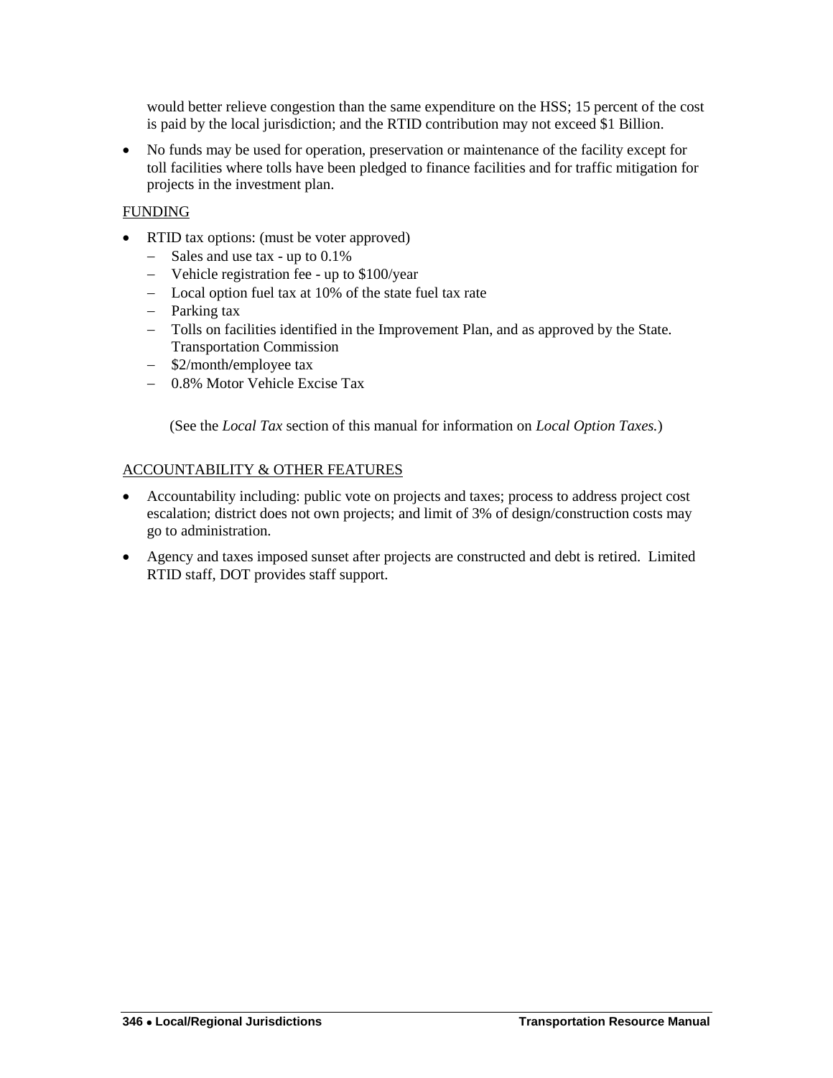would better relieve congestion than the same expenditure on the HSS; 15 percent of the cost is paid by the local jurisdiction; and the RTID contribution may not exceed \$1 Billion.

 No funds may be used for operation, preservation or maintenance of the facility except for toll facilities where tolls have been pledged to finance facilities and for traffic mitigation for projects in the investment plan.

# FUNDING

- RTID tax options: (must be voter approved)
	- Sales and use tax up to  $0.1\%$
	- Vehicle registration fee up to \$100/year
	- Local option fuel tax at 10% of the state fuel tax rate
	- Parking tax
	- Tolls on facilities identified in the Improvement Plan, and as approved by the State. Transportation Commission
	- \$2/month/employee tax
	- 0.8% Motor Vehicle Excise Tax

(See the *Local Tax* section of this manual for information on *Local Option Taxes.*)

# ACCOUNTABILITY & OTHER FEATURES

- Accountability including: public vote on projects and taxes; process to address project cost escalation; district does not own projects; and limit of 3% of design/construction costs may go to administration.
- Agency and taxes imposed sunset after projects are constructed and debt is retired. Limited RTID staff, DOT provides staff support.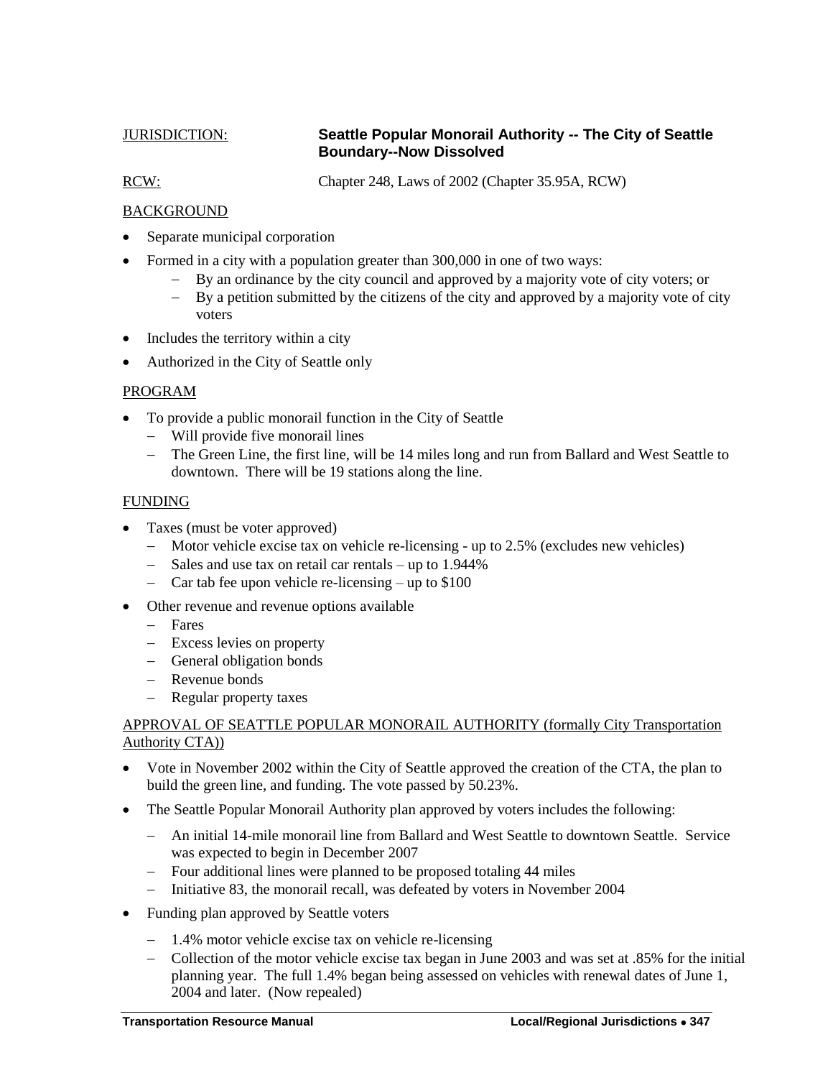# <span id="page-24-0"></span>JURISDICTION: **Seattle Popular Monorail Authority -- The City of Seattle Boundary--Now Dissolved**

RCW: Chapter 248, Laws of 2002 (Chapter 35.95A, RCW)

# BACKGROUND

- Separate municipal corporation
- Formed in a city with a population greater than 300,000 in one of two ways:
	- By an ordinance by the city council and approved by a majority vote of city voters; or
	- $-$  By a petition submitted by the citizens of the city and approved by a majority vote of city voters
- Includes the territory within a city
- Authorized in the City of Seattle only

### PROGRAM

- To provide a public monorail function in the City of Seattle
	- Will provide five monorail lines
	- The Green Line, the first line, will be 14 miles long and run from Ballard and West Seattle to downtown. There will be 19 stations along the line.

### FUNDING

- Taxes (must be voter approved)
	- Motor vehicle excise tax on vehicle re-licensing up to 2.5% (excludes new vehicles)
	- Sales and use tax on retail car rentals up to 1.944%
	- Car tab fee upon vehicle re-licensing  $-$  up to \$100
- Other revenue and revenue options available
	- Fares
	- Excess levies on property
	- General obligation bonds
	- Revenue bonds
	- Regular property taxes

# APPROVAL OF SEATTLE POPULAR MONORAIL AUTHORITY (formally City Transportation Authority CTA))

- Vote in November 2002 within the City of Seattle approved the creation of the CTA, the plan to build the green line, and funding. The vote passed by 50.23%.
- The Seattle Popular Monorail Authority plan approved by voters includes the following:
	- An initial 14-mile monorail line from Ballard and West Seattle to downtown Seattle. Service was expected to begin in December 2007
	- Four additional lines were planned to be proposed totaling 44 miles
	- Initiative 83, the monorail recall, was defeated by voters in November 2004
- Funding plan approved by Seattle voters
	- 1.4% motor vehicle excise tax on vehicle re-licensing
	- Collection of the motor vehicle excise tax began in June 2003 and was set at .85% for the initial planning year. The full 1.4% began being assessed on vehicles with renewal dates of June 1, 2004 and later. (Now repealed)